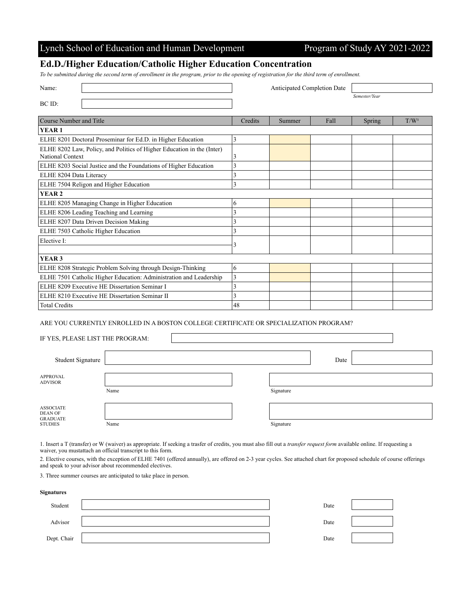|  | Lynch School of Education and Human Development |  |  |  |  |  |
|--|-------------------------------------------------|--|--|--|--|--|
|--|-------------------------------------------------|--|--|--|--|--|

## Program of Study AY 2021-2022

## **Ed.D./Higher Education/Catholic Higher Education Concentration**

*To be submitted during the second term of enrollment in the program, prior to the opening of registration for the third term of enrollment.*

| Name:                                                                                      | Anticipated Completion Date |        |      |               |                  |
|--------------------------------------------------------------------------------------------|-----------------------------|--------|------|---------------|------------------|
| BC ID:                                                                                     |                             |        |      | Semester/Year |                  |
|                                                                                            |                             |        |      |               |                  |
| Course Number and Title                                                                    | Credits                     | Summer | Fall | Spring        | T/W <sup>1</sup> |
| YEAR <sub>1</sub>                                                                          |                             |        |      |               |                  |
| ELHE 8201 Doctoral Proseminar for Ed.D. in Higher Education                                | 3                           |        |      |               |                  |
| ELHE 8202 Law, Policy, and Politics of Higher Education in the (Inter)<br>National Context | 3                           |        |      |               |                  |
| ELHE 8203 Social Justice and the Foundations of Higher Education                           | 3                           |        |      |               |                  |
| ELHE 8204 Data Literacy                                                                    | 3                           |        |      |               |                  |
| ELHE 7504 Religon and Higher Education                                                     | 3                           |        |      |               |                  |
| <b>YEAR2</b>                                                                               |                             |        |      |               |                  |
| ELHE 8205 Managing Change in Higher Education                                              | 6                           |        |      |               |                  |
| ELHE 8206 Leading Teaching and Learning                                                    | 3                           |        |      |               |                  |
| ELHE 8207 Data Driven Decision Making                                                      | 3                           |        |      |               |                  |
| ELHE 7503 Catholic Higher Education                                                        | 3                           |        |      |               |                  |
| Elective I:                                                                                | 3                           |        |      |               |                  |
|                                                                                            |                             |        |      |               |                  |
| YEAR <sub>3</sub>                                                                          |                             |        |      |               |                  |
| ELHE 8208 Strategic Problem Solving through Design-Thinking                                | 6                           |        |      |               |                  |
| ELHE 7501 Catholic Higher Education: Administration and Leadership                         | 3                           |        |      |               |                  |
| ELHE 8209 Executive HE Dissertation Seminar I                                              | 3                           |        |      |               |                  |
| ELHE 8210 Executive HE Dissertation Seminar II                                             | 3                           |        |      |               |                  |
| <b>Total Credits</b>                                                                       | 48                          |        |      |               |                  |

ARE YOU CURRENTLY ENROLLED IN A BOSTON COLLEGE CERTIFICATE OR SPECIALIZATION PROGRAM?

IF YES, PLEASE LIST THE PROGRAM:

| Student Signature                                                |      |  |           | Date |  |
|------------------------------------------------------------------|------|--|-----------|------|--|
| <b>APPROVAL</b><br><b>ADVISOR</b>                                | Name |  | Signature |      |  |
| <b>ASSOCIATE</b><br>DEAN OF<br><b>GRADUATE</b><br><b>STUDIES</b> | Name |  | Signature |      |  |

1. Insert a T (transfer) or W (waiver) as appropriate. If seeking a trasfer of credits, you must also fill out a *transfer request form* available online. If requesting a waiver, you mustattach an official transcript to this form.

2. Elective courses, with the exception of ELHE 7401 (offered annually), are offered on 2-3 year cycles. See attached chart for proposed schedule of course offerings and speak to your advisor about recommended electives.

3. Three summer courses are anticipated to take place in person.

## **Signatures**

| Student     | Date |  |
|-------------|------|--|
| Advisor     | Date |  |
| Dept. Chair | Date |  |